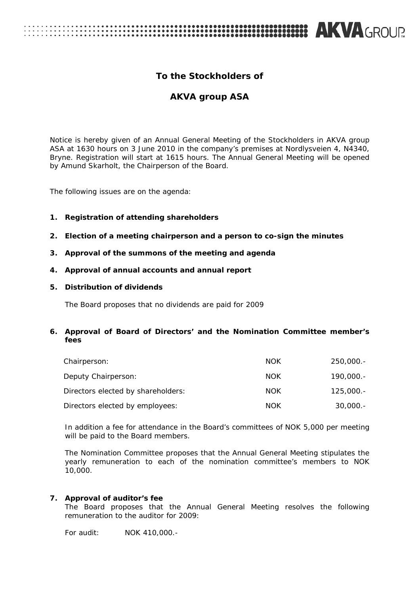# **EXAGROUP AND ARTICLES**

## **To the Stockholders of**

## **AKVA group ASA**

Notice is hereby given of an Annual General Meeting of the Stockholders in AKVA group ASA at 1630 hours on 3 June 2010 in the company's premises at Nordlysveien 4, N4340, Bryne. Registration will start at 1615 hours. The Annual General Meeting will be opened by Amund Skarholt, the Chairperson of the Board.

The following issues are on the agenda:

#### **1. Registration of attending shareholders**

- **2. Election of a meeting chairperson and a person to co-sign the minutes**
- **3. Approval of the summons of the meeting and agenda**
- **4. Approval of annual accounts and annual report**

#### **5. Distribution of dividends**

The Board proposes that no dividends are paid for 2009

#### **6. Approval of Board of Directors' and the Nomination Committee member's fees**

| Chairperson:                       | <b>NOK</b> | $250,000. -$ |
|------------------------------------|------------|--------------|
| Deputy Chairperson:                | <b>NOK</b> | $190,000. -$ |
| Directors elected by shareholders: | <b>NOK</b> | $125.000 -$  |
| Directors elected by employees:    | <b>NOK</b> | $30,000. -$  |

In addition a fee for attendance in the Board's committees of NOK 5,000 per meeting will be paid to the Board members.

The Nomination Committee proposes that the Annual General Meeting stipulates the yearly remuneration to each of the nomination committee's members to NOK 10,000.

#### **7. Approval of auditor's fee**

The Board proposes that the Annual General Meeting resolves the following remuneration to the auditor for 2009:

For audit: NOK 410,000.-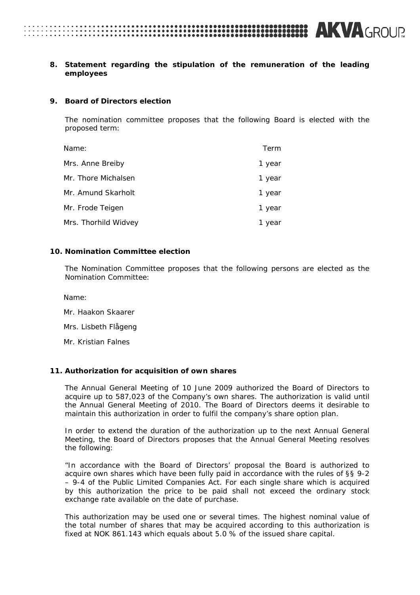## 2

#### **8. Statement regarding the stipulation of the remuneration of the leading employees**

#### **9. Board of Directors election**

The nomination committee proposes that the following Board is elected with the proposed term:

| Name:                | Term   |
|----------------------|--------|
| Mrs. Anne Breiby     | 1 year |
| Mr. Thore Michalsen  | 1 year |
| Mr. Amund Skarholt   | 1 year |
| Mr. Frode Teigen     | 1 year |
| Mrs. Thorhild Widvey | 1 year |

#### **10. Nomination Committee election**

The Nomination Committee proposes that the following persons are elected as the Nomination Committee:

Name:

- Mr. Haakon Skaarer
- Mrs. Lisbeth Flågeng
- Mr. Kristian Falnes

#### **11. Authorization for acquisition of own shares**

The Annual General Meeting of 10 June 2009 authorized the Board of Directors to acquire up to 587,023 of the Company's own shares. The authorization is valid until the Annual General Meeting of 2010. The Board of Directors deems it desirable to maintain this authorization in order to fulfil the company's share option plan.

In order to extend the duration of the authorization up to the next Annual General Meeting, the Board of Directors proposes that the Annual General Meeting resolves the following:

"*In accordance with the Board of Directors' proposal the Board is authorized to acquire own shares which have been fully paid in accordance with the rules of §§ 9-2 – 9-4 of the Public Limited Companies Act. For each single share which is acquired by this authorization the price to be paid shall not exceed the ordinary stock exchange rate available on the date of purchase.* 

*This authorization may be used one or several times. The highest nominal value of the total number of shares that may be acquired according to this authorization is fixed at NOK 861.143 which equals about 5.0 % of the issued share capital.*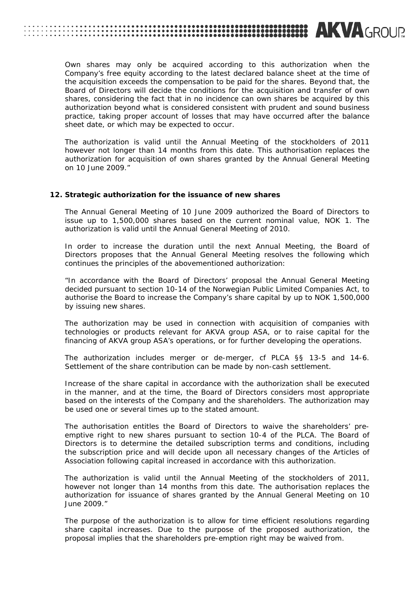## **333333333333334 AKVA**GROUP

*Own shares may only be acquired according to this authorization when the Company's free equity according to the latest declared balance sheet at the time of the acquisition exceeds the compensation to be paid for the shares. Beyond that, the Board of Directors will decide the conditions for the acquisition and transfer of own shares, considering the fact that in no incidence can own shares be acquired by this authorization beyond what is considered consistent with prudent and sound business practice, taking proper account of losses that may have occurred after the balance sheet date, or which may be expected to occur.* 

*The authorization is valid until the Annual Meeting of the stockholders of 2011 however not longer than 14 months from this date. This authorisation replaces the authorization for acquisition of own shares granted by the Annual General Meeting on 10 June 2009."*

#### **12. Strategic authorization for the issuance of new shares**

The Annual General Meeting of 10 June 2009 authorized the Board of Directors to issue up to 1,500,000 shares based on the current nominal value, NOK 1. The authorization is valid until the Annual General Meeting of 2010.

In order to increase the duration until the next Annual Meeting, the Board of Directors proposes that the Annual General Meeting resolves the following which continues the principles of the abovementioned authorization:

*"In accordance with the Board of Directors' proposal the Annual General Meeting decided pursuant to section 10-14 of the Norwegian Public Limited Companies Act, to authorise the Board to increase the Company's share capital by up to NOK 1,500,000 by issuing new shares.* 

*The authorization may be used in connection with acquisition of companies with technologies or products relevant for AKVA group ASA, or to raise capital for the financing of AKVA group ASA's operations, or for further developing the operations.* 

*The authorization includes merger or de-merger, cf PLCA §§ 13-5 and 14-6. Settlement of the share contribution can be made by non-cash settlement.* 

*Increase of the share capital in accordance with the authorization shall be executed in the manner, and at the time, the Board of Directors considers most appropriate based on the interests of the Company and the shareholders. The authorization may be used one or several times up to the stated amount.* 

*The authorisation entitles the Board of Directors to waive the shareholders' pre*emptive right to new shares pursuant to section 10-4 of the PLCA. The Board of *Directors is to determine the detailed subscription terms and conditions, including*  the subscription price and will decide upon all necessary changes of the Articles of *Association following capital increased in accordance with this authorization.* 

*The authorization is valid until the Annual Meeting of the stockholders of 2011, however not longer than 14 months from this date. The authorisation replaces the authorization for issuance of shares granted by the Annual General Meeting on 10 June 2009."* 

The purpose of the authorization is to allow for time efficient resolutions regarding share capital increases. Due to the purpose of the proposed authorization, the proposal implies that the shareholders pre-emption right may be waived from.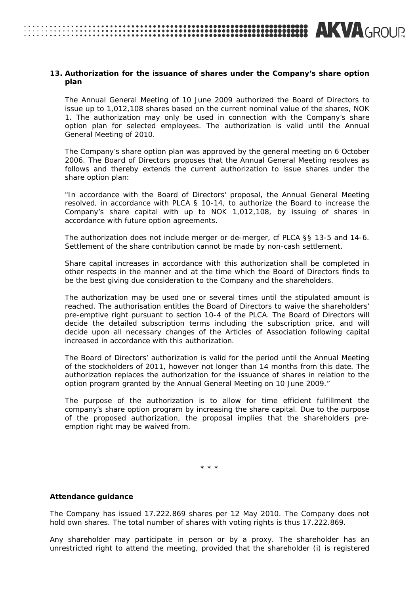### **13. Authorization for the issuance of shares under the Company's share option plan**

**AKVA**GROUP

The Annual General Meeting of 10 June 2009 authorized the Board of Directors to issue up to 1,012,108 shares based on the current nominal value of the shares, NOK 1. The authorization may only be used in connection with the Company's share option plan for selected employees. The authorization is valid until the Annual General Meeting of 2010.

The Company's share option plan was approved by the general meeting on 6 October 2006. The Board of Directors proposes that the Annual General Meeting resolves as follows and thereby extends the current authorization to issue shares under the share option plan:

*"In accordance with the Board of Directors' proposal, the Annual General Meeting resolved, in accordance with PLCA § 10-14, to authorize the Board to increase the Company's share capital with up to NOK 1,012,108, by issuing of shares in accordance with future option agreements.* 

*The authorization does not include merger or de-merger, cf PLCA §§ 13-5 and 14-6. Settlement of the share contribution cannot be made by non-cash settlement.* 

*Share capital increases in accordance with this authorization shall be completed in other respects in the manner and at the time which the Board of Directors finds to be the best giving due consideration to the Company and the shareholders.* 

*The authorization may be used one or several times until the stipulated amount is reached. The authorisation entitles the Board of Directors to waive the shareholders' pre-emptive right pursuant to section 10-4 of the PLCA. The Board of Directors will decide the detailed subscription terms including the subscription price, and will decide upon all necessary changes of the Articles of Association following capital increased in accordance with this authorization.* 

*The Board of Directors' authorization is valid for the period until the Annual Meeting of the stockholders of 2011, however not longer than 14 months from this date. The authorization replaces the authorization for the issuance of shares in relation to the option program granted by the Annual General Meeting on 10 June 2009."* 

The purpose of the authorization is to allow for time efficient fulfillment the company's share option program by increasing the share capital. Due to the purpose of the proposed authorization, the proposal implies that the shareholders preemption right may be waived from.

\* \* \*

#### **Attendance guidance**

The Company has issued 17.222.869 shares per 12 May 2010. The Company does not hold own shares. The total number of shares with voting rights is thus 17.222.869.

Any shareholder may participate in person or by a proxy. The shareholder has an unrestricted right to attend the meeting, provided that the shareholder (i) is registered